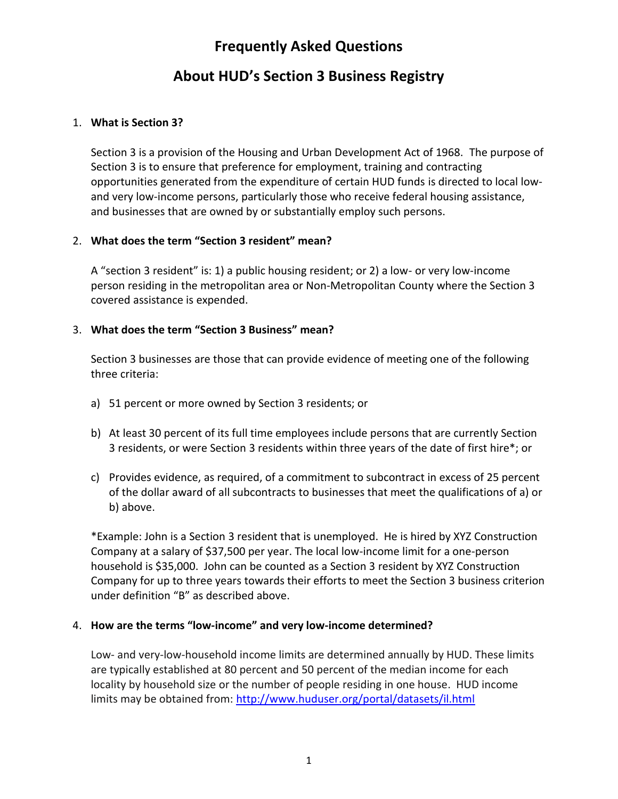# **Frequently Asked Questions**

# **About HUD's Section 3 Business Registry**

### 1. **What is Section 3?**

Section 3 is a provision of the Housing and Urban Development Act of 1968. The purpose of Section 3 is to ensure that preference for employment, training and contracting opportunities generated from the expenditure of certain HUD funds is directed to local lowand very low-income persons, particularly those who receive federal housing assistance, and businesses that are owned by or substantially employ such persons.

### 2. **What does the term "Section 3 resident" mean?**

A "section 3 resident" is: 1) a public housing resident; or 2) a low- or very low-income person residing in the metropolitan area or Non-Metropolitan County where the Section 3 covered assistance is expended.

### 3. **What does the term "Section 3 Business" mean?**

Section 3 businesses are those that can provide evidence of meeting one of the following three criteria:

- a) 51 percent or more owned by Section 3 residents; or
- b) At least 30 percent of its full time employees include persons that are currently Section 3 residents, or were Section 3 residents within three years of the date of first hire\*; or
- c) Provides evidence, as required, of a commitment to subcontract in excess of 25 percent of the dollar award of all subcontracts to businesses that meet the qualifications of a) or b) above.

\*Example: John is a Section 3 resident that is unemployed. He is hired by XYZ Construction Company at a salary of \$37,500 per year. The local low-income limit for a one-person household is \$35,000. John can be counted as a Section 3 resident by XYZ Construction Company for up to three years towards their efforts to meet the Section 3 business criterion under definition "B" as described above.

### 4. **How are the terms "low-income" and very low-income determined?**

Low- and very-low-household income limits are determined annually by HUD. These limits are typically established at 80 percent and 50 percent of the median income for each locality by household size or the number of people residing in one house. HUD income limits may be obtained from:<http://www.huduser.org/portal/datasets/il.html>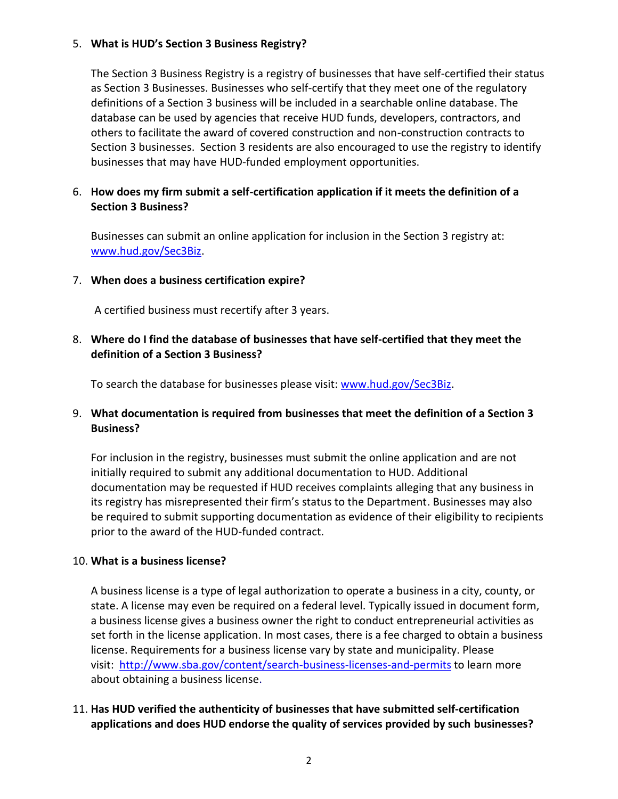#### 5. **What is HUD's Section 3 Business Registry?**

The Section 3 Business Registry is a registry of businesses that have self-certified their status as Section 3 Businesses. Businesses who self-certify that they meet one of the regulatory definitions of a Section 3 business will be included in a searchable online database. The database can be used by agencies that receive HUD funds, developers, contractors, and others to facilitate the award of covered construction and non-construction contracts to Section 3 businesses. Section 3 residents are also encouraged to use the registry to identify businesses that may have HUD-funded employment opportunities.

#### 6. **How does my firm submit a self-certification application if it meets the definition of a Section 3 Business?**

Businesses can submit an online application for inclusion in the Section 3 registry at: [www.hud.gov/Sec3Biz.](http://www.hud.gov/Sec3Biz)

#### 7. **When does a business certification expire?**

A certified business must recertify after 3 years.

#### 8. **Where do I find the database of businesses that have self-certified that they meet the definition of a Section 3 Business?**

To search the database for businesses please visit: [www.hud.gov/Sec3Biz.](http://www.hud.gov/Sec3Biz)

### 9. **What documentation is required from businesses that meet the definition of a Section 3 Business?**

For inclusion in the registry, businesses must submit the online application and are not initially required to submit any additional documentation to HUD. Additional documentation may be requested if HUD receives complaints alleging that any business in its registry has misrepresented their firm's status to the Department. Businesses may also be required to submit supporting documentation as evidence of their eligibility to recipients prior to the award of the HUD-funded contract.

#### 10. **What is a business license?**

A business license is a type of legal authorization to operate a business in a city, county, or state. A license may even be required on a federal level. Typically issued in document form, a business license gives a business owner the right to conduct entrepreneurial activities as set forth in the license application. In most cases, there is a fee charged to obtain a business license. Requirements for a business license vary by state and municipality. Please visit: <http://www.sba.gov/content/search-business-licenses-and-permits> to learn more about obtaining a business license.

### 11. **Has HUD verified the authenticity of businesses that have submitted self-certification applications and does HUD endorse the quality of services provided by such businesses?**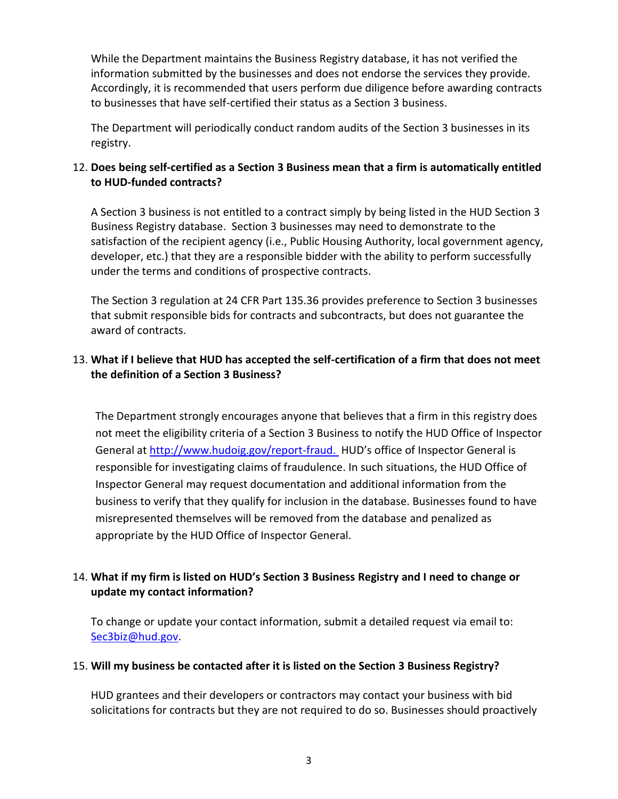While the Department maintains the Business Registry database, it has not verified the information submitted by the businesses and does not endorse the services they provide. Accordingly, it is recommended that users perform due diligence before awarding contracts to businesses that have self-certified their status as a Section 3 business.

The Department will periodically conduct random audits of the Section 3 businesses in its registry.

## 12. **Does being self-certified as a Section 3 Business mean that a firm is automatically entitled to HUD-funded contracts?**

A Section 3 business is not entitled to a contract simply by being listed in the HUD Section 3 Business Registry database. Section 3 businesses may need to demonstrate to the satisfaction of the recipient agency (i.e., Public Housing Authority, local government agency, developer, etc.) that they are a responsible bidder with the ability to perform successfully under the terms and conditions of prospective contracts.

The Section 3 regulation at 24 CFR Part 135.36 provides preference to Section 3 businesses that submit responsible bids for contracts and subcontracts, but does not guarantee the award of contracts.

## 13. **What if I believe that HUD has accepted the self-certification of a firm that does not meet the definition of a Section 3 Business?**

The Department strongly encourages anyone that believes that a firm in this registry does not meet the eligibility criteria of a Section 3 Business to notify the HUD Office of Inspector General at<http://www.hudoig.gov/report-fraud.>HUD's office of Inspector General is responsible for investigating claims of fraudulence. In such situations, the HUD Office of Inspector General may request documentation and additional information from the business to verify that they qualify for inclusion in the database. Businesses found to have misrepresented themselves will be removed from the database and penalized as appropriate by the HUD Office of Inspector General.

## 14. **What if my firm is listed on HUD's Section 3 Business Registry and I need to change or update my contact information?**

To change or update your contact information, submit a detailed request via email to: [Sec3biz@hud.gov.](mailto:Sec3biz@hud.gov)

### 15. **Will my business be contacted after it is listed on the Section 3 Business Registry?**

HUD grantees and their developers or contractors may contact your business with bid solicitations for contracts but they are not required to do so. Businesses should proactively